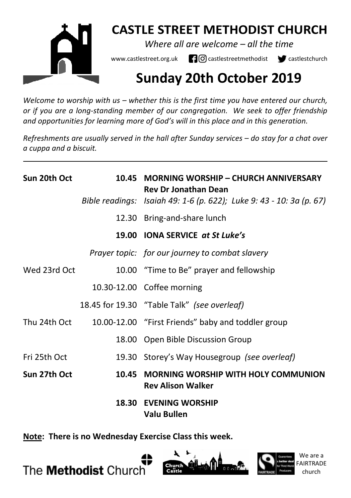

## **CASTLE STREET METHODIST CHURCH**

*Where all are welcome – all the time* 

www.castlestreet.org.uk  $\Box$   $\Box$  castlestreetmethodist  $\Box$  castlestchurch

# **Sunday 20th October 2019**

*Welcome to worship with us – whether this is the first time you have entered our church, or if you are a long-standing member of our congregation. We seek to offer friendship and opportunities for learning more of God's will in this place and in this generation.* 

*Refreshments are usually served in the hall after Sunday services – do stay for a chat over a cuppa and a biscuit.*

| Sun 20th Oct | 10.45 | <b>MORNING WORSHIP - CHURCH ANNIVERSARY</b><br><b>Rev Dr Jonathan Dean</b> |
|--------------|-------|----------------------------------------------------------------------------|
|              |       | Bible readings: Isaiah 49: 1-6 (p. 622); Luke 9: 43 - 10: 3a (p. 67)       |
|              |       | 12.30 Bring-and-share lunch                                                |
|              |       | 19.00 IONA SERVICE at St Luke's                                            |
|              |       | Prayer topic: for our journey to combat slavery                            |
| Wed 23rd Oct |       | 10.00 "Time to Be" prayer and fellowship                                   |
|              |       | 10.30-12.00 Coffee morning                                                 |
|              |       | 18.45 for 19.30 "Table Talk" (see overleaf)                                |
| Thu 24th Oct |       | 10.00-12.00 "First Friends" baby and toddler group                         |
|              |       | 18.00 Open Bible Discussion Group                                          |
| Fri 25th Oct |       | 19.30 Storey's Way Housegroup (see overleaf)                               |
| Sun 27th Oct | 10.45 | <b>MORNING WORSHIP WITH HOLY COMMUNION</b><br><b>Rev Alison Walker</b>     |
|              |       | <b>18.30 EVENING WORSHIP</b><br>Valu Bullen                                |

**Note: There is no Wednesday Exercise Class this week.** 

The **Methodist** Church





We are a FAIRTRADE church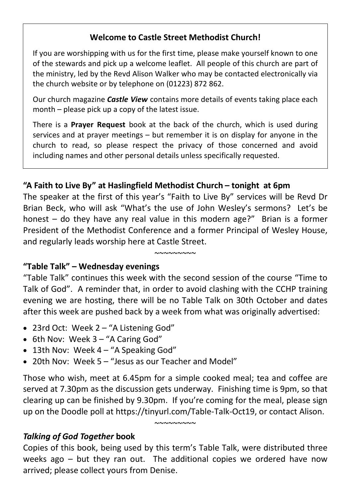## **Welcome to Castle Street Methodist Church!**

If you are worshipping with us for the first time, please make yourself known to one of the stewards and pick up a welcome leaflet. All people of this church are part of the ministry, led by the Revd Alison Walker who may be contacted electronically via the church website or by telephone on (01223) 872 862.

Our church magazine *Castle View* contains more details of events taking place each month – please pick up a copy of the latest issue.

There is a **Prayer Request** book at the back of the church, which is used during services and at prayer meetings – but remember it is on display for anyone in the church to read, so please respect the privacy of those concerned and avoid including names and other personal details unless specifically requested.

## **"A Faith to Live By" at Haslingfield Methodist Church – tonight at 6pm**

The speaker at the first of this year's "Faith to Live By" services will be Revd Dr Brian Beck, who will ask "What's the use of John Wesley's sermons? Let's be honest – do they have any real value in this modern age?" Brian is a former President of the Methodist Conference and a former Principal of Wesley House, and regularly leads worship here at Castle Street.

 $~\sim$ ~~~~~~~

## **"Table Talk" – Wednesday evenings**

"Table Talk" continues this week with the second session of the course "Time to Talk of God". A reminder that, in order to avoid clashing with the CCHP training evening we are hosting, there will be no Table Talk on 30th October and dates after this week are pushed back by a week from what was originally advertised:

- 23rd Oct: Week 2 "A Listening God"
- 6th Nov: Week 3 "A Caring God"
- 13th Nov: Week 4 "A Speaking God"
- 20th Nov: Week 5 "Jesus as our Teacher and Model"

Those who wish, meet at 6.45pm for a simple cooked meal; tea and coffee are served at 7.30pm as the discussion gets underway. Finishing time is 9pm, so that clearing up can be finished by 9.30pm. If you're coming for the meal, please sign up on the Doodle poll at https://tinyurl.com/Table-Talk-Oct19, or contact Alison.

 $~\sim$ ~~~~~~~

*Talking of God Together* **book** 

Copies of this book, being used by this term's Table Talk, were distributed three weeks ago – but they ran out. The additional copies we ordered have now arrived; please collect yours from Denise.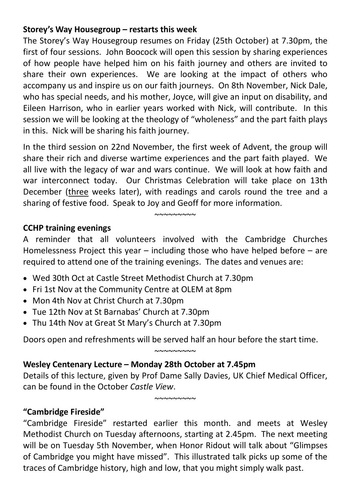## **Storey's Way Housegroup – restarts this week**

The Storey's Way Housegroup resumes on Friday (25th October) at 7.30pm, the first of four sessions. John Boocock will open this session by sharing experiences of how people have helped him on his faith journey and others are invited to share their own experiences. We are looking at the impact of others who accompany us and inspire us on our faith journeys. On 8th November, Nick Dale, who has special needs, and his mother, Joyce, will give an input on disability, and Eileen Harrison, who in earlier years worked with Nick, will contribute. In this session we will be looking at the theology of "wholeness" and the part faith plays in this. Nick will be sharing his faith journey.

In the third session on 22nd November, the first week of Advent, the group will share their rich and diverse wartime experiences and the part faith played. We all live with the legacy of war and wars continue. We will look at how faith and war interconnect today. Our Christmas Celebration will take place on 13th December (three weeks later), with readings and carols round the tree and a sharing of festive food. Speak to Joy and Geoff for more information.

#### **CCHP training evenings**

A reminder that all volunteers involved with the Cambridge Churches Homelessness Project this year – including those who have helped before – are required to attend one of the training evenings. The dates and venues are:

 $~\sim$  $\sim$  $\sim$  $\sim$  $\sim$  $\sim$  $\sim$ 

- Wed 30th Oct at Castle Street Methodist Church at 7.30pm
- Fri 1st Nov at the Community Centre at OLEM at 8pm
- Mon 4th Nov at Christ Church at 7.30pm
- Tue 12th Nov at St Barnabas' Church at 7.30pm
- Thu 14th Nov at Great St Mary's Church at 7.30pm

Doors open and refreshments will be served half an hour before the start time.

## **Wesley Centenary Lecture – Monday 28th October at 7.45pm**

Details of this lecture, given by Prof Dame Sally Davies, UK Chief Medical Officer, can be found in the October *Castle View*.

 $~\sim$ ~~~~~~~

 $~\sim$ ~~~~~~~

## **"Cambridge Fireside"**

"Cambridge Fireside" restarted earlier this month. and meets at Wesley Methodist Church on Tuesday afternoons, starting at 2.45pm. The next meeting will be on Tuesday 5th November, when Honor Ridout will talk about "Glimpses of Cambridge you might have missed". This illustrated talk picks up some of the traces of Cambridge history, high and low, that you might simply walk past.